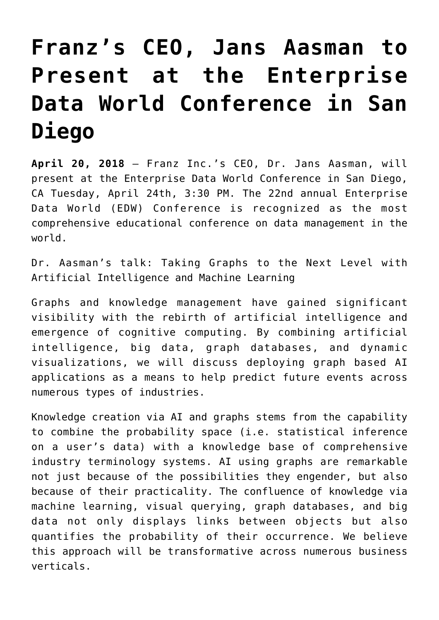## **[Franz's CEO, Jans Aasman to](https://allegrograph.com/press_room/franzs-ceo-jans-aasman-to-present-at-the-enterprise-data-world-conference-in-san-diego/) [Present at the Enterprise](https://allegrograph.com/press_room/franzs-ceo-jans-aasman-to-present-at-the-enterprise-data-world-conference-in-san-diego/) [Data World Conference in San](https://allegrograph.com/press_room/franzs-ceo-jans-aasman-to-present-at-the-enterprise-data-world-conference-in-san-diego/) [Diego](https://allegrograph.com/press_room/franzs-ceo-jans-aasman-to-present-at-the-enterprise-data-world-conference-in-san-diego/)**

**April 20, 2018** – Franz Inc.'s CEO, Dr. Jans Aasman, will present at the [Enterprise Data World Conference](http://edw2018.dataversity.net/) in San Diego, CA Tuesday, April 24th, 3:30 PM. The 22nd annual Enterprise Data World (EDW) Conference is recognized as the most comprehensive educational conference on data management in the world.

Dr. Aasman's talk: [Taking Graphs to the Next Level with](https://edw2018.dataversity.net/sessionPop.cfm?confid=121&proposalid=9652) [Artificial Intelligence and Machine Learning](https://edw2018.dataversity.net/sessionPop.cfm?confid=121&proposalid=9652)

Graphs and knowledge management have gained significant visibility with the rebirth of artificial intelligence and emergence of cognitive computing. By combining artificial intelligence, big data, graph databases, and dynamic visualizations, we will discuss deploying graph based AI applications as a means to help predict future events across numerous types of industries.

Knowledge creation via AI and graphs stems from the capability to combine the probability space (i.e. statistical inference on a user's data) with a knowledge base of comprehensive industry terminology systems. AI using graphs are remarkable not just because of the possibilities they engender, but also because of their practicality. The confluence of knowledge via machine learning, visual querying, graph databases, and big data not only displays links between objects but also quantifies the probability of their occurrence. We believe this approach will be transformative across numerous business verticals.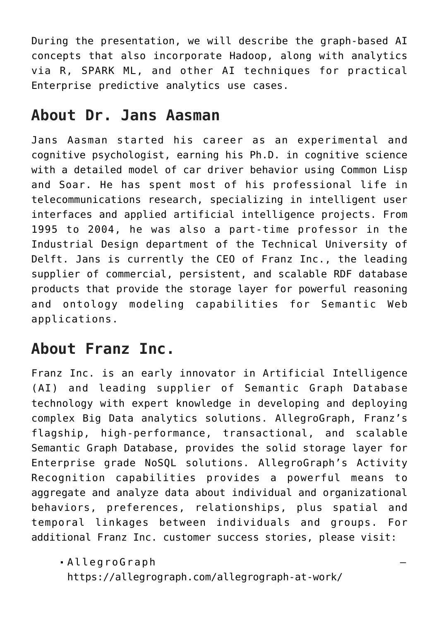During the presentation, we will describe the graph-based AI concepts that also incorporate Hadoop, along with analytics via R, SPARK ML, and other AI techniques for practical Enterprise predictive analytics use cases.

## **About Dr. Jans Aasman**

Jans Aasman started his career as an experimental and cognitive psychologist, earning his Ph.D. in cognitive science with a detailed model of car driver behavior using Common Lisp and Soar. He has spent most of his professional life in telecommunications research, specializing in intelligent user interfaces and applied artificial intelligence projects. From 1995 to 2004, he was also a part-time professor in the Industrial Design department of the Technical University of Delft. Jans is currently the CEO of Franz Inc., the leading supplier of commercial, persistent, and scalable RDF database products that provide the storage layer for powerful reasoning and ontology modeling capabilities for Semantic Web applications.

## **About Franz Inc.**

Franz Inc. is an early innovator in Artificial Intelligence (AI) and leading supplier of Semantic Graph Database technology with expert knowledge in developing and deploying complex Big Data analytics solutions. AllegroGraph, Franz's flagship, high-performance, transactional, and scalable Semantic Graph Database, provides the solid storage layer for Enterprise grade NoSQL solutions. AllegroGraph's Activity Recognition capabilities provides a powerful means to aggregate and analyze data about individual and organizational behaviors, preferences, relationships, plus spatial and temporal linkages between individuals and groups. For additional Franz Inc. customer success stories, please visit:

AllegroGraph –

https://allegrograph.com/allegrograph-at-work/